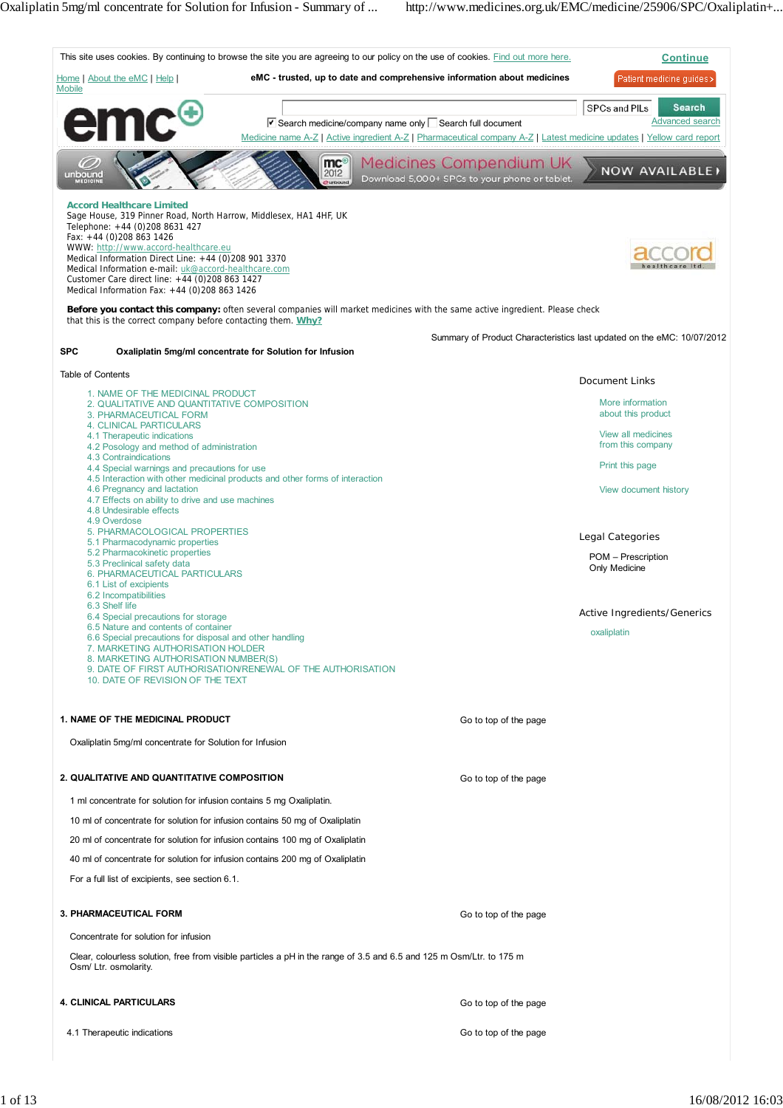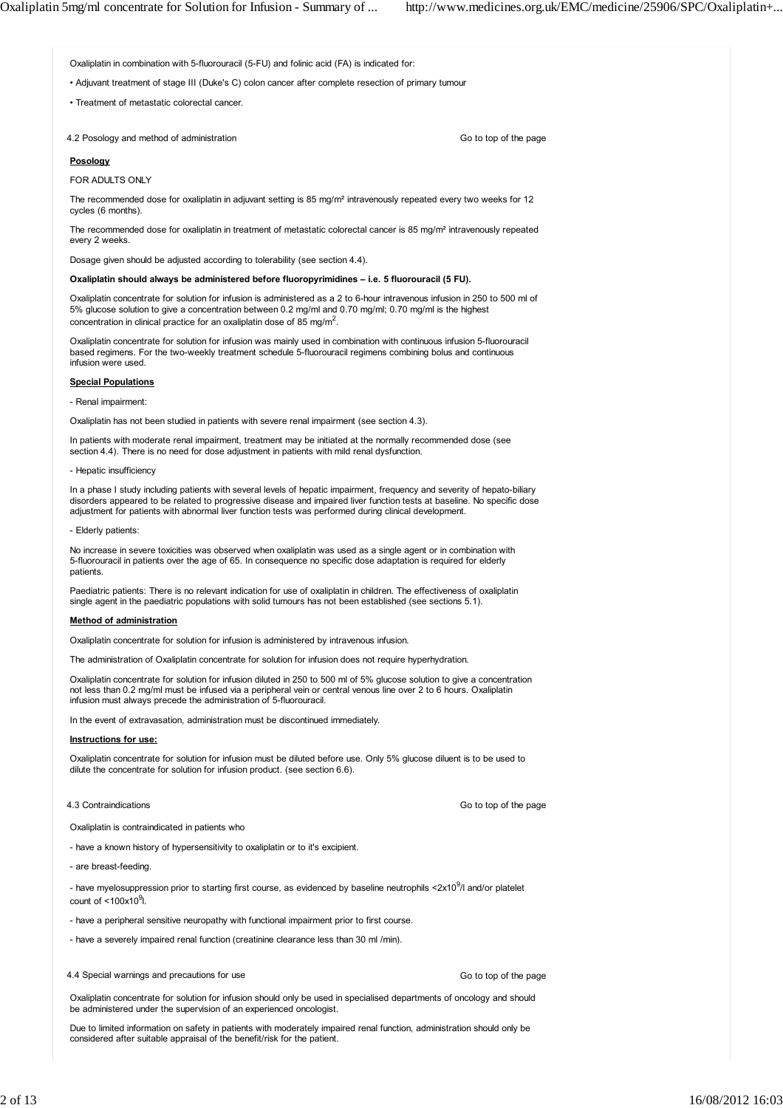Oxaliplatin in combination with 5-fluorouracil (5-FU) and folinic acid (FA) is indicated for:

• Adjuvant treatment of stage III (Duke's C) colon cancer after complete resection of primary tumour

• Treatment of metastatic colorectal cancer.

4.2 Posology and method of administration

Go to top of the page

### **Posology**

FOR ADULTS ONLY

The recommended dose for oxaliplatin in adjuvant setting is 85 mg/m² intravenously repeated every two weeks for 12 cycles (6 months).

The recommended dose for oxaliplatin in treatment of metastatic colorectal cancer is 85 mg/m² intravenously repeated every 2 weeks.

Dosage given should be adjusted according to tolerability (see section 4.4).

### **Oxaliplatin should always be administered before fluoropyrimidines – i.e. 5 fluorouracil (5 FU).**

Oxaliplatin concentrate for solution for infusion is administered as a 2 to 6-hour intravenous infusion in 250 to 500 ml of 5% glucose solution to give a concentration between 0.2 mg/ml and 0.70 mg/ml; 0.70 mg/ml is the highest concentration in clinical practice for an oxaliplatin dose of 85 mg/m<sup>2</sup>.

Oxaliplatin concentrate for solution for infusion was mainly used in combination with continuous infusion 5-fluorouracil based regimens. For the two-weekly treatment schedule 5-fluorouracil regimens combining bolus and continuous infusion were used.

## **Special Populations**

- Renal impairment:

Oxaliplatin has not been studied in patients with severe renal impairment (see section 4.3).

In patients with moderate renal impairment, treatment may be initiated at the normally recommended dose (see section 4.4). There is no need for dose adjustment in patients with mild renal dysfunction.

### - Hepatic insufficiency

In a phase I study including patients with several levels of hepatic impairment, frequency and severity of hepato-biliary disorders appeared to be related to progressive disease and impaired liver function tests at baseline. No specific dose adjustment for patients with abnormal liver function tests was performed during clinical development.

### - Elderly patients:

No increase in severe toxicities was observed when oxaliplatin was used as a single agent or in combination with 5-fluorouracil in patients over the age of 65. In consequence no specific dose adaptation is required for elderly patients.

Paediatric patients: There is no relevant indication for use of oxaliplatin in children. The effectiveness of oxaliplatin single agent in the paediatric populations with solid tumours has not been established (see sections 5.1).

## **Method of administration**

Oxaliplatin concentrate for solution for infusion is administered by intravenous infusion.

The administration of Oxaliplatin concentrate for solution for infusion does not require hyperhydration.

Oxaliplatin concentrate for solution for infusion diluted in 250 to 500 ml of 5% glucose solution to give a concentration not less than 0.2 mg/ml must be infused via a peripheral vein or central venous line over 2 to 6 hours. Oxaliplatin infusion must always precede the administration of 5-fluorouracil.

In the event of extravasation, administration must be discontinued immediately.

## **Instructions for use:**

Oxaliplatin concentrate for solution for infusion must be diluted before use. Only 5% glucose diluent is to be used to dilute the concentrate for solution for infusion product. (see section 6.6).

## 4.3 Contraindications

Go to top of the page

Go to top of the page

Oxaliplatin is contraindicated in patients who

- have a known history of hypersensitivity to oxaliplatin or to it's excipient.

- are breast-feeding.

- have myelosuppression prior to starting first course, as evidenced by baseline neutrophils <2x10<sup>9</sup>/l and/or platelet count of  $<$ 100x10 $^9$ l.

- have a peripheral sensitive neuropathy with functional impairment prior to first course.
- have a severely impaired renal function (creatinine clearance less than 30 ml /min).
- 4.4 Special warnings and precautions for use

Oxaliplatin concentrate for solution for infusion should only be used in specialised departments of oncology and should be administered under the supervision of an experienced oncologist.

Due to limited information on safety in patients with moderately impaired renal function, administration should only be considered after suitable appraisal of the benefit/risk for the patient.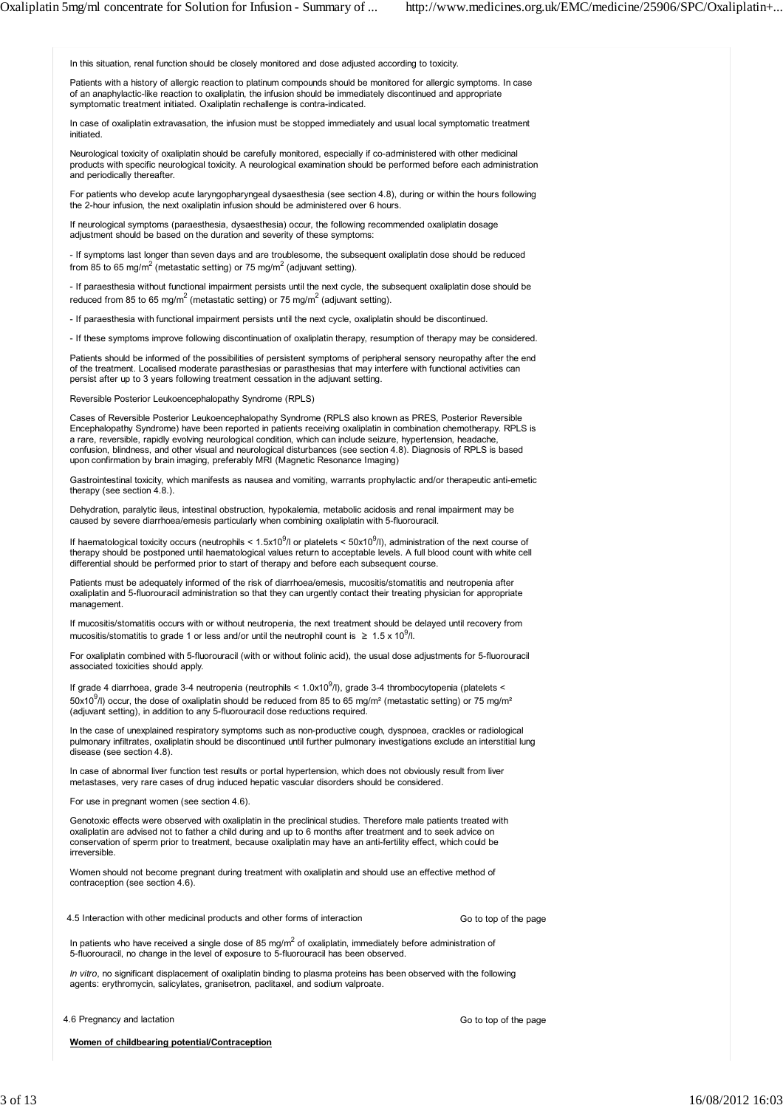In this situation, renal function should be closely monitored and dose adjusted according to toxicity.

Patients with a history of allergic reaction to platinum compounds should be monitored for allergic symptoms. In case of an anaphylactic-like reaction to oxaliplatin, the infusion should be immediately discontinued and appropriate symptomatic treatment initiated. Oxaliplatin rechallenge is contra-indicated.

In case of oxaliplatin extravasation, the infusion must be stopped immediately and usual local symptomatic treatment initiated.

Neurological toxicity of oxaliplatin should be carefully monitored, especially if co-administered with other medicinal products with specific neurological toxicity. A neurological examination should be performed before each administration and periodically thereafter.

For patients who develop acute laryngopharyngeal dysaesthesia (see section 4.8), during or within the hours following the 2-hour infusion, the next oxaliplatin infusion should be administered over 6 hours.

If neurological symptoms (paraesthesia, dysaesthesia) occur, the following recommended oxaliplatin dosage adjustment should be based on the duration and severity of these symptoms:

- If symptoms last longer than seven days and are troublesome, the subsequent oxaliplatin dose should be reduced from 85 to 65 mg/m<sup>2</sup> (metastatic setting) or 75 mg/m<sup>2</sup> (adjuvant setting).

- If paraesthesia without functional impairment persists until the next cycle, the subsequent oxaliplatin dose should be reduced from 85 to 65 mg/m<sup>2</sup> (metastatic setting) or 75 mg/m<sup>2</sup> (adjuvant setting).

- If paraesthesia with functional impairment persists until the next cycle, oxaliplatin should be discontinued.

- If these symptoms improve following discontinuation of oxaliplatin therapy, resumption of therapy may be considered.

Patients should be informed of the possibilities of persistent symptoms of peripheral sensory neuropathy after the end of the treatment. Localised moderate parasthesias or parasthesias that may interfere with functional activities can persist after up to 3 years following treatment cessation in the adjuvant setting.

Reversible Posterior Leukoencephalopathy Syndrome (RPLS)

Cases of Reversible Posterior Leukoencephalopathy Syndrome (RPLS also known as PRES, Posterior Reversible Encephalopathy Syndrome) have been reported in patients receiving oxaliplatin in combination chemotherapy. RPLS is a rare, reversible, rapidly evolving neurological condition, which can include seizure, hypertension, headache, confusion, blindness, and other visual and neurological disturbances (see section 4.8). Diagnosis of RPLS is based upon confirmation by brain imaging, preferably MRI (Magnetic Resonance Imaging)

Gastrointestinal toxicity, which manifests as nausea and vomiting, warrants prophylactic and/or therapeutic anti-emetic therapy (see section 4.8.).

Dehydration, paralytic ileus, intestinal obstruction, hypokalemia, metabolic acidosis and renal impairment may be caused by severe diarrhoea/emesis particularly when combining oxaliplatin with 5-fluorouracil.

If haematological toxicity occurs (neutrophils <  $1.5x10^9$ /l or platelets <  $50x10^9$ /l), administration of the next course of therapy should be postponed until haematological values return to acceptable levels. A full blood count with white cell differential should be performed prior to start of therapy and before each subsequent course.

Patients must be adequately informed of the risk of diarrhoea/emesis, mucositis/stomatitis and neutropenia after oxaliplatin and 5-fluorouracil administration so that they can urgently contact their treating physician for appropriate management.

If mucositis/stomatitis occurs with or without neutropenia, the next treatment should be delayed until recovery from mucositis/stomatitis to grade 1 or less and/or until the neutrophil count is  $\geq 1.5 \times 10^9$ /l.

For oxaliplatin combined with 5-fluorouracil (with or without folinic acid), the usual dose adjustments for 5-fluorouracil associated toxicities should apply.

If grade 4 diarrhoea, grade 3-4 neutropenia (neutrophils < 1.0x10<sup>9</sup>/l), grade 3-4 thrombocytopenia (platelets < 50x10<sup>9</sup>/l) occur, the dose of oxaliplatin should be reduced from 85 to 65 mg/m<sup>2</sup> (metastatic setting) or 75 mg/m<sup>2</sup> (adjuvant setting), in addition to any 5-fluorouracil dose reductions required.

In the case of unexplained respiratory symptoms such as non-productive cough, dyspnoea, crackles or radiological pulmonary infiltrates, oxaliplatin should be discontinued until further pulmonary investigations exclude an interstitial lung disease (see section 4.8).

In case of abnormal liver function test results or portal hypertension, which does not obviously result from liver metastases, very rare cases of drug induced hepatic vascular disorders should be considered.

For use in pregnant women (see section 4.6).

Genotoxic effects were observed with oxaliplatin in the preclinical studies. Therefore male patients treated with oxaliplatin are advised not to father a child during and up to 6 months after treatment and to seek advice on conservation of sperm prior to treatment, because oxaliplatin may have an anti-fertility effect, which could be irreversible.

Women should not become pregnant during treatment with oxaliplatin and should use an effective method of contraception (see section 4.6).

4.5 Interaction with other medicinal products and other forms of interaction

Go to top of the page

In patients who have received a single dose of 85 mg/m<sup>2</sup> of oxaliplatin, immediately before administration of 5-fluorouracil, no change in the level of exposure to 5-fluorouracil has been observed.

*In vitro*, no significant displacement of oxaliplatin binding to plasma proteins has been observed with the following agents: erythromycin, salicylates, granisetron, paclitaxel, and sodium valproate.

4.6 Pregnancy and lactation

Go to top of the page

**Women of childbearing potential/Contraception**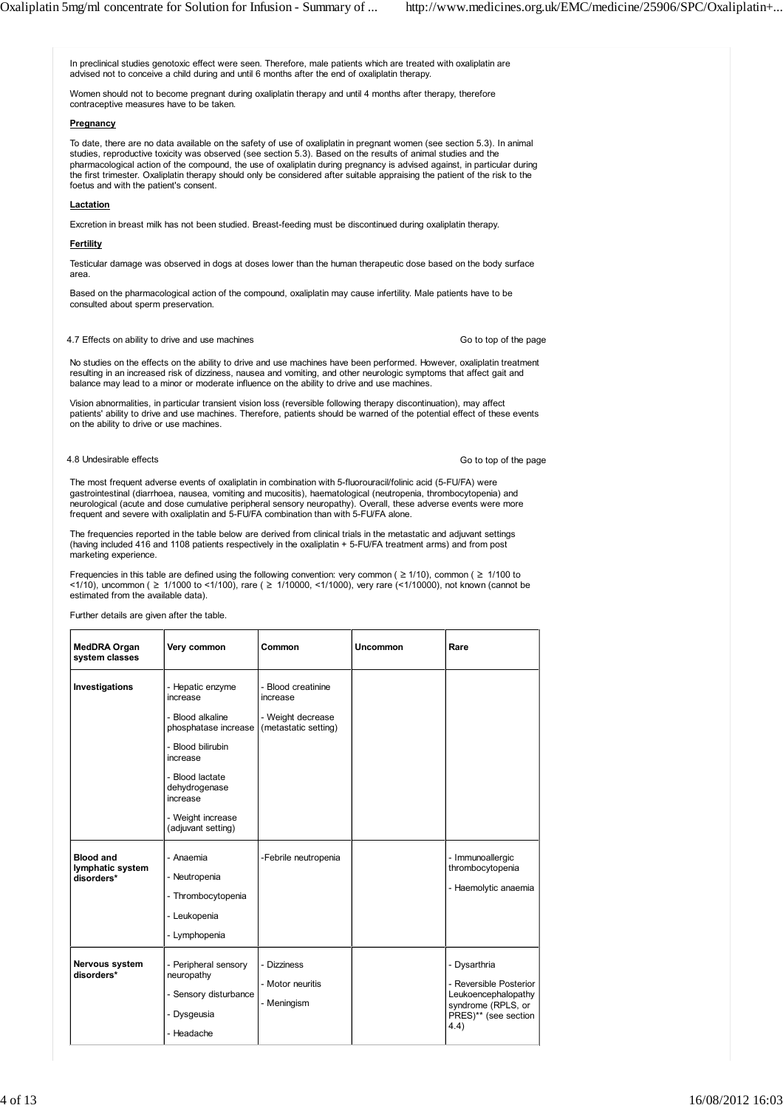In preclinical studies genotoxic effect were seen. Therefore, male patients which are treated with oxaliplatin are advised not to conceive a child during and until 6 months after the end of oxaliplatin therapy. Women should not to become pregnant during oxaliplatin therapy and until 4 months after therapy, therefore contraceptive measures have to be taken. **Pregnancy** To date, there are no data available on the safety of use of oxaliplatin in pregnant women (see section 5.3). In animal studies, reproductive toxicity was observed (see section 5.3). Based on the results of animal studies and the pharmacological action of the compound, the use of oxaliplatin during pregnancy is advised against, in particular during the first trimester. Oxaliplatin therapy should only be considered after suitable appraising the patient of the risk to the foetus and with the patient's consent. **Lactation** Excretion in breast milk has not been studied. Breast-feeding must be discontinued during oxaliplatin therapy. **Fertility** Testicular damage was observed in dogs at doses lower than the human therapeutic dose based on the body surface area. Based on the pharmacological action of the compound, oxaliplatin may cause infertility. Male patients have to be consulted about sperm preservation. 4.7 Effects on ability to drive and use machines No studies on the effects on the ability to drive and use machines have been performed. However, oxaliplatin treatment resulting in an increased risk of dizziness, nausea and vomiting, and other neurologic symptoms that affect gait and balance may lead to a minor or moderate influence on the ability to drive and use machines. Vision abnormalities, in particular transient vision loss (reversible following therapy discontinuation), may affect patients' ability to drive and use machines. Therefore, patients should be warned of the potential effect of these events on the ability to drive or use machines. 4.8 Undesirable effects The most frequent adverse events of oxaliplatin in combination with 5-fluorouracil/folinic acid (5-FU/FA) were gastrointestinal (diarrhoea, nausea, vomiting and mucositis), haematological (neutropenia, thrombocytopenia) and neurological (acute and dose cumulative peripheral sensory neuropathy). Overall, these adverse events were more frequent and severe with oxaliplatin and 5-FU/FA combination than with 5-FU/FA alone. The frequencies reported in the table below are derived from clinical trials in the metastatic and adjuvant settings (having included 416 and 1108 patients respectively in the oxaliplatin + 5-FU/FA treatment arms) and from post marketing experience. Frequencies in this table are defined using the following convention: very common ( $\geq 1/10$ ), common ( $\geq 1/100$  to  $(1/10)$ , uncommon ( $\geq 1/1000$  to  $(1/100)$ , rare ( $\geq 1/10000$ ,  $(1/1000)$ , very rare ( $(1/10000)$ , not known (cannot be estimated from the available data). Further details are given after the table. **MedDRA Organ system classes Very common Common Uncommon Rare Investigations** |- Hepatic enzyme increase - Blood alkaline phosphatase increase - Blood creatinine increase - Weight decrease (metastatic setting) Go to top of the page Go to top of the page

| MedDRA Organ<br>system classes                     | Very common                                                                                                                                                                                          | Common                                                                      | Uncommon | Rare                                                                                                                |
|----------------------------------------------------|------------------------------------------------------------------------------------------------------------------------------------------------------------------------------------------------------|-----------------------------------------------------------------------------|----------|---------------------------------------------------------------------------------------------------------------------|
| Investigations                                     | - Hepatic enzyme<br>increase<br>- Blood alkaline<br>phosphatase increase<br>- Blood bilirubin<br>increase<br>- Blood lactate<br>dehydrogenase<br>increase<br>- Weight increase<br>(adjuvant setting) | - Blood creatinine<br>increase<br>- Weight decrease<br>(metastatic setting) |          |                                                                                                                     |
| <b>Blood and</b><br>lymphatic system<br>disorders* | - Anaemia<br>- Neutropenia<br>- Thrombocytopenia<br>- Leukopenia<br>- Lymphopenia                                                                                                                    | -Febrile neutropenia                                                        |          | - Immunoallergic<br>thrombocytopenia<br>- Haemolytic anaemia                                                        |
| <b>Nervous system</b><br>disorders*                | - Peripheral sensory<br>neuropathy<br>- Sensory disturbance<br>- Dysgeusia<br>- Headache                                                                                                             | - Dizziness<br>- Motor neuritis<br>- Meningism                              |          | - Dysarthria<br>- Reversible Posterior<br>Leukoencephalopathy<br>syndrome (RPLS, or<br>PRES)** (see section<br>4.4) |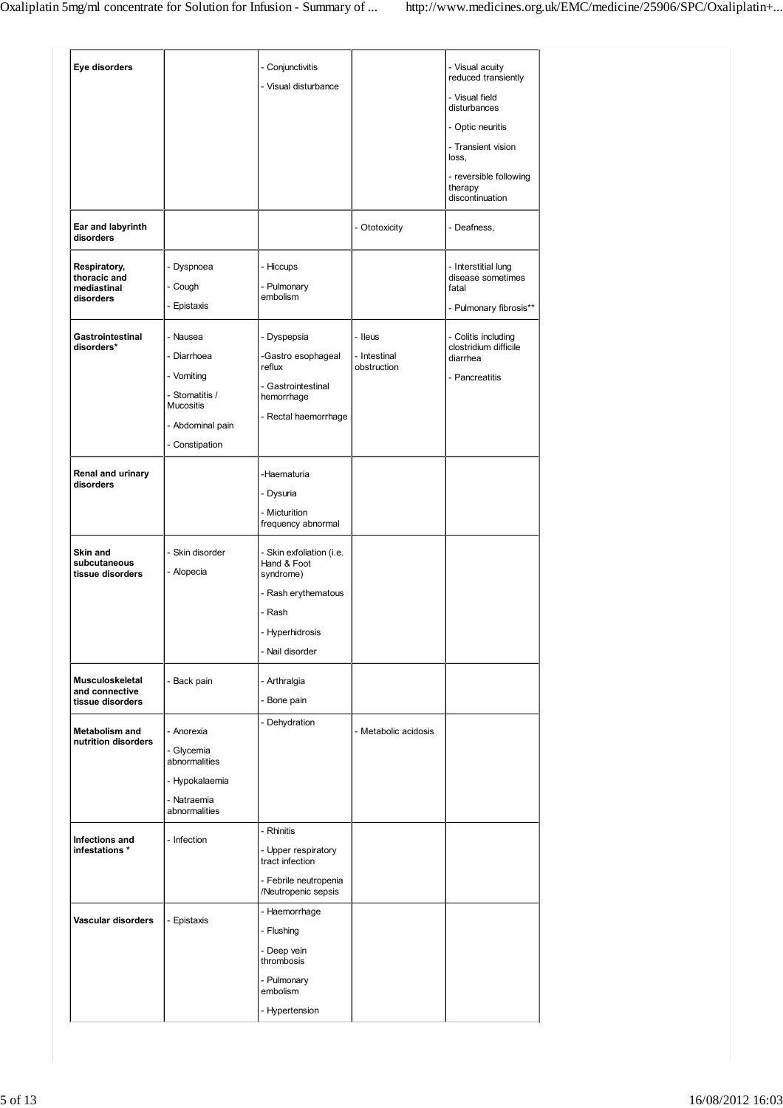| Eye disorders                                            |                                                                                                                   | - Conjunctivitis<br>- Visual disturbance                                                                                    |                                        | - Visual acuity<br>reduced transiently<br>- Visual field<br>disturbances<br>- Optic neuritis<br>- Transient vision<br>loss,<br>- reversible following<br>therapy<br>discontinuation |  |
|----------------------------------------------------------|-------------------------------------------------------------------------------------------------------------------|-----------------------------------------------------------------------------------------------------------------------------|----------------------------------------|-------------------------------------------------------------------------------------------------------------------------------------------------------------------------------------|--|
| Ear and labyrinth<br>disorders                           |                                                                                                                   |                                                                                                                             | - Ototoxicity                          | - Deafness,                                                                                                                                                                         |  |
| Respiratory,<br>thoracic and<br>mediastinal<br>disorders | Dyspnoea<br>- Cough<br>- Epistaxis                                                                                | - Hiccups<br>- Pulmonary<br>embolism                                                                                        |                                        | - Interstitial lung<br>disease sometimes<br>fatal<br>- Pulmonary fibrosis**                                                                                                         |  |
| Gastrointestinal<br>disorders*                           | - Nausea<br>- Diarrhoea<br>- Vomiting<br>- Stomatitis /<br><b>Mucositis</b><br>- Abdominal pain<br>- Constipation | - Dyspepsia<br>-Gastro esophageal<br>reflux<br>- Gastrointestinal<br>hemorrhage<br>- Rectal haemorrhage                     | - Ileus<br>- Intestinal<br>obstruction | - Colitis including<br>clostridium difficile<br>diarrhea<br>- Pancreatitis                                                                                                          |  |
| Renal and urinary<br>disorders                           |                                                                                                                   | -Haematuria<br>- Dysuria<br>- Micturition<br>frequency abnormal                                                             |                                        |                                                                                                                                                                                     |  |
| Skin and<br>subcutaneous<br>tissue disorders             | - Skin disorder<br>- Alopecia                                                                                     | - Skin exfoliation (i.e.<br>Hand & Foot<br>syndrome)<br>- Rash erythematous<br>- Rash<br>- Hyperhidrosis<br>- Nail disorder |                                        |                                                                                                                                                                                     |  |
| Musculoskeletal<br>and connective<br>tissue disorders    | - Back pain                                                                                                       | - Arthralgia<br>- Bone pain                                                                                                 |                                        |                                                                                                                                                                                     |  |
| <b>Metabolism and</b><br>nutrition disorders             | - Anorexia<br>- Glycemia<br>abnormalities<br>- Hypokalaemia<br>- Natraemia<br>abnormalities                       | - Dehydration                                                                                                               | - Metabolic acidosis                   |                                                                                                                                                                                     |  |
| Infections and<br>infestations *                         | - Infection                                                                                                       | - Rhinitis<br>- Upper respiratory<br>tract infection<br>- Febrile neutropenia<br>/Neutropenic sepsis                        |                                        |                                                                                                                                                                                     |  |
| Vascular disorders                                       | - Epistaxis                                                                                                       | - Haemorrhage<br>- Flushing<br>- Deep vein<br>thrombosis<br>- Pulmonary<br>embolism<br>- Hypertension                       |                                        |                                                                                                                                                                                     |  |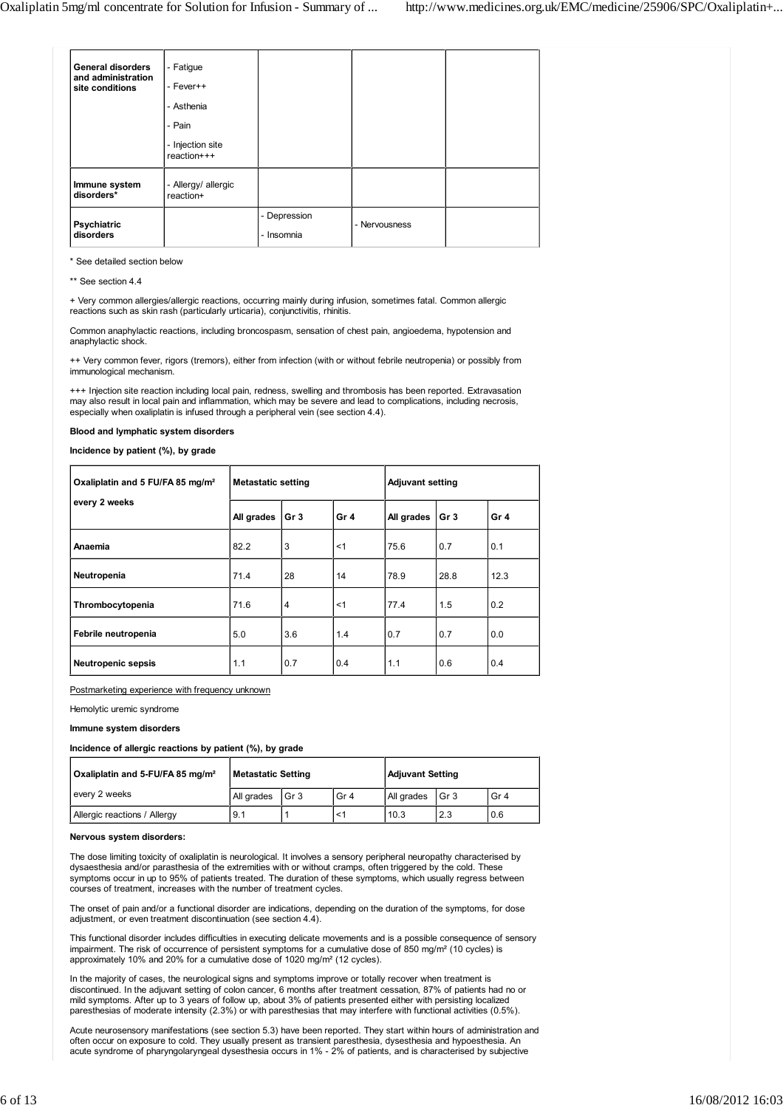| <b>General disorders</b><br>and administration<br>site conditions | - Fatigue<br>- Fever++<br>- Asthenia<br>- Pain<br>- Injection site<br>reaction+++ |                            |               |  |
|-------------------------------------------------------------------|-----------------------------------------------------------------------------------|----------------------------|---------------|--|
| Immune system<br>disorders*                                       | - Allergy/ allergic<br>reaction+                                                  |                            |               |  |
| Psychiatric<br>disorders                                          |                                                                                   | - Depression<br>- Insomnia | - Nervousness |  |

\* See detailed section below

|  | ** See section 4.4 |  |
|--|--------------------|--|
|  |                    |  |

+ Very common allergies/allergic reactions, occurring mainly during infusion, sometimes fatal. Common allergic reactions such as skin rash (particularly urticaria), conjunctivitis, rhinitis.

Common anaphylactic reactions, including broncospasm, sensation of chest pain, angioedema, hypotension and anaphylactic shock.

++ Very common fever, rigors (tremors), either from infection (with or without febrile neutropenia) or possibly from immunological mechanism.

+++ Injection site reaction including local pain, redness, swelling and thrombosis has been reported. Extravasation may also result in local pain and inflammation, which may be severe and lead to complications, including necrosis, especially when oxaliplatin is infused through a peripheral vein (see section 4.4).

## **Blood and lymphatic system disorders**

**Incidence by patient (%), by grade**

| Oxaliplatin and 5 FU/FA 85 mg/m <sup>2</sup> | <b>Metastatic setting</b> |                 |                 | <b>Adjuvant setting</b> |                 |                 |
|----------------------------------------------|---------------------------|-----------------|-----------------|-------------------------|-----------------|-----------------|
| every 2 weeks                                | All grades                | Gr <sub>3</sub> | Gr <sub>4</sub> | All grades              | Gr <sub>3</sub> | Gr <sub>4</sub> |
| Anaemia                                      | 82.2                      | 3               | < 1             | 75.6                    | 0.7             | 0.1             |
| Neutropenia                                  | 71.4                      | 28              | 14              | 78.9                    | 28.8            | 12.3            |
| Thrombocytopenia                             | 71.6                      | 4               | $<$ 1           | 77.4                    | 1.5             | 0.2             |
| Febrile neutropenia                          | 5.0                       | 3.6             | 1.4             | 0.7                     | 0.7             | 0.0             |
| <b>Neutropenic sepsis</b>                    | 1.1                       | 0.7             | 0.4             | 1.1                     | 0.6             | 0.4             |

Postmarketing experience with frequency unknown

## Hemolytic uremic syndrome

## **Immune system disorders**

**Incidence of allergic reactions by patient (%), by grade**

| Oxaliplatin and 5-FU/FA 85 mg/m <sup>2</sup> | Metastatic Setting |                 |                 | <b>Adjuvant Setting</b> |                 |                 |
|----------------------------------------------|--------------------|-----------------|-----------------|-------------------------|-----------------|-----------------|
| every 2 weeks                                | All grades         | Gr <sub>3</sub> | Gr <sub>4</sub> | All grades              | Gr <sub>3</sub> | Gr <sub>4</sub> |
| Allergic reactions / Allergy                 | 9.1                |                 |                 | 10.3                    | 2.3             | 0.6             |

### **Nervous system disorders:**

The dose limiting toxicity of oxaliplatin is neurological. It involves a sensory peripheral neuropathy characterised by dysaesthesia and/or parasthesia of the extremities with or without cramps, often triggered by the cold. These symptoms occur in up to 95% of patients treated. The duration of these symptoms, which usually regress between courses of treatment, increases with the number of treatment cycles.

The onset of pain and/or a functional disorder are indications, depending on the duration of the symptoms, for dose adjustment, or even treatment discontinuation (see section 4.4).

This functional disorder includes difficulties in executing delicate movements and is a possible consequence of sensory impairment. The risk of occurrence of persistent symptoms for a cumulative dose of 850 mg/m<sup>2</sup> (10 cycles) is approximately 10% and 20% for a cumulative dose of 1020 mg/m² (12 cycles).

In the majority of cases, the neurological signs and symptoms improve or totally recover when treatment is discontinued. In the adjuvant setting of colon cancer, 6 months after treatment cessation, 87% of patients had no or mild symptoms. After up to 3 years of follow up, about 3% of patients presented either with persisting localized paresthesias of moderate intensity (2.3%) or with paresthesias that may interfere with functional activities (0.5%).

Acute neurosensory manifestations (see section 5.3) have been reported. They start within hours of administration and often occur on exposure to cold. They usually present as transient paresthesia, dysesthesia and hypoesthesia. An acute syndrome of pharyngolaryngeal dysesthesia occurs in 1% - 2% of patients, and is characterised by subjective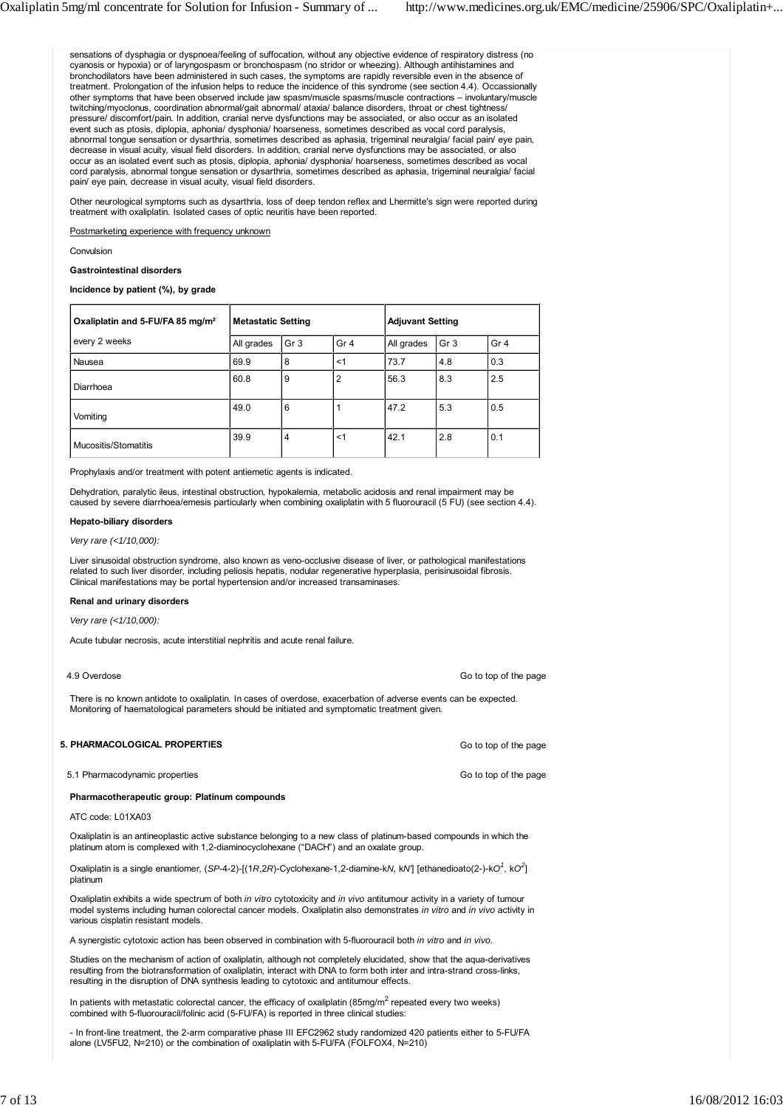sensations of dysphagia or dyspnoea/feeling of suffocation, without any objective evidence of respiratory distress (no cyanosis or hypoxia) or of laryngospasm or bronchospasm (no stridor or wheezing). Although antihistamines and bronchodilators have been administered in such cases, the symptoms are rapidly reversible even in the absence of treatment. Prolongation of the infusion helps to reduce the incidence of this syndrome (see section 4.4). Occassionally other symptoms that have been observed include jaw spasm/muscle spasms/muscle contractions – involuntary/muscle twitching/myoclonus, coordination abnormal/gait abnormal/ ataxia/ balance disorders, throat or chest tightness/ pressure/ discomfort/pain. In addition, cranial nerve dysfunctions may be associated, or also occur as an isolated event such as ptosis, diplopia, aphonia/ dysphonia/ hoarseness, sometimes described as vocal cord paralysis, abnormal tongue sensation or dysarthria, sometimes described as aphasia, trigeminal neuralgia/ facial pain/ eye pain, decrease in visual acuity, visual field disorders. In addition, cranial nerve dysfunctions may be associated, or also occur as an isolated event such as ptosis, diplopia, aphonia/ dysphonia/ hoarseness, sometimes described as vocal cord paralysis, abnormal tongue sensation or dysarthria, sometimes described as aphasia, trigeminal neuralgia/ facial pain/ eye pain, decrease in visual acuity, visual field disorders.

Other neurological symptoms such as dysarthria, loss of deep tendon reflex and Lhermitte's sign were reported during treatment with oxaliplatin. Isolated cases of optic neuritis have been reported.

Postmarketing experience with frequency unknown

Convulsion

## **Gastrointestinal disorders**

**Incidence by patient (%), by grade**

| Oxaliplatin and 5-FU/FA 85 mg/m <sup>2</sup> | <b>Metastatic Setting</b> |                 | <b>Adjuvant Setting</b> |            |                 |                 |
|----------------------------------------------|---------------------------|-----------------|-------------------------|------------|-----------------|-----------------|
| every 2 weeks                                | All grades                | Gr <sub>3</sub> | Gr <sub>4</sub>         | All grades | Gr <sub>3</sub> | Gr <sub>4</sub> |
| Nausea                                       | 69.9                      | 8               | < 1                     | 73.7       | 4.8             | 0.3             |
| Diarrhoea                                    | 60.8                      | 9               | $\overline{2}$          | 56.3       | 8.3             | 2.5             |
| Vomiting                                     | 49.0                      | 6               |                         | 47.2       | 5.3             | 0.5             |
| Mucositis/Stomatitis                         | 39.9                      | 4               | < 1                     | 42.1       | 2.8             | 0.1             |

Prophylaxis and/or treatment with potent antiemetic agents is indicated.

Dehydration, paralytic ileus, intestinal obstruction, hypokalemia, metabolic acidosis and renal impairment may be caused by severe diarrhoea/emesis particularly when combining oxaliplatin with 5 fluorouracil (5 FU) (see section 4.4).

### **Hepato-biliary disorders**

*Very rare (<1/10,000):*

Liver sinusoidal obstruction syndrome, also known as veno-occlusive disease of liver, or pathological manifestations related to such liver disorder, including peliosis hepatis, nodular regenerative hyperplasia, perisinusoidal fibrosis. Clinical manifestations may be portal hypertension and/or increased transaminases.

## **Renal and urinary disorders**

**5. PHARMACOLOGICAL PROPERTIES**

*Very rare (<1/10,000):*

Acute tubular necrosis, acute interstitial nephritis and acute renal failure.

| 4.9 Overdose                                                                                                                                                                                                     | Go to top of the page |
|------------------------------------------------------------------------------------------------------------------------------------------------------------------------------------------------------------------|-----------------------|
| There is no known antidote to oxaliplatin. In cases of overdose, exacerbation of adverse events can be expected.<br>Monitoring of haematological parameters should be initiated and symptomatic treatment given. |                       |

Go to top of the page

| 5.1 Pharmacodynamic properties | Go to top of the page |
|--------------------------------|-----------------------|

## **Pharmacotherapeutic group: Platinum compounds**

ATC code: L01XA03

Oxaliplatin is an antineoplastic active substance belonging to a new class of platinum-based compounds in which the platinum atom is complexed with 1,2-diaminocyclohexane ("DACH") and an oxalate group.

Oxaliplatin is a single enantiomer, (*SP*-4-2)-[(1*R*,2*R*)-Cyclohexane-1,2-diamine-k*N*, k*N'*] [ethanedioato(2-)-k*O<sup>1</sup>* , k*O<sup>2</sup>* ] platinum

Oxaliplatin exhibits a wide spectrum of both *in vitro* cytotoxicity and *in vivo* antitumour activity in a variety of tumour model systems including human colorectal cancer models. Oxaliplatin also demonstrates *in vitro* and *in vivo* activity in various cisplatin resistant models.

A synergistic cytotoxic action has been observed in combination with 5-fluorouracil both *in vitro* and *in vivo*.

Studies on the mechanism of action of oxaliplatin, although not completely elucidated, show that the aqua-derivatives resulting from the biotransformation of oxaliplatin, interact with DNA to form both inter and intra-strand cross-links, resulting in the disruption of DNA synthesis leading to cytotoxic and antitumour effects.

In patients with metastatic colorectal cancer, the efficacy of oxaliplatin (85mg/m<sup>2</sup> repeated every two weeks) combined with 5-fluorouracil/folinic acid (5-FU/FA) is reported in three clinical studies:

- In front-line treatment, the 2-arm comparative phase III EFC2962 study randomized 420 patients either to 5-FU/FA alone (LV5FU2, N=210) or the combination of oxaliplatin with 5-FU/FA (FOLFOX4, N=210)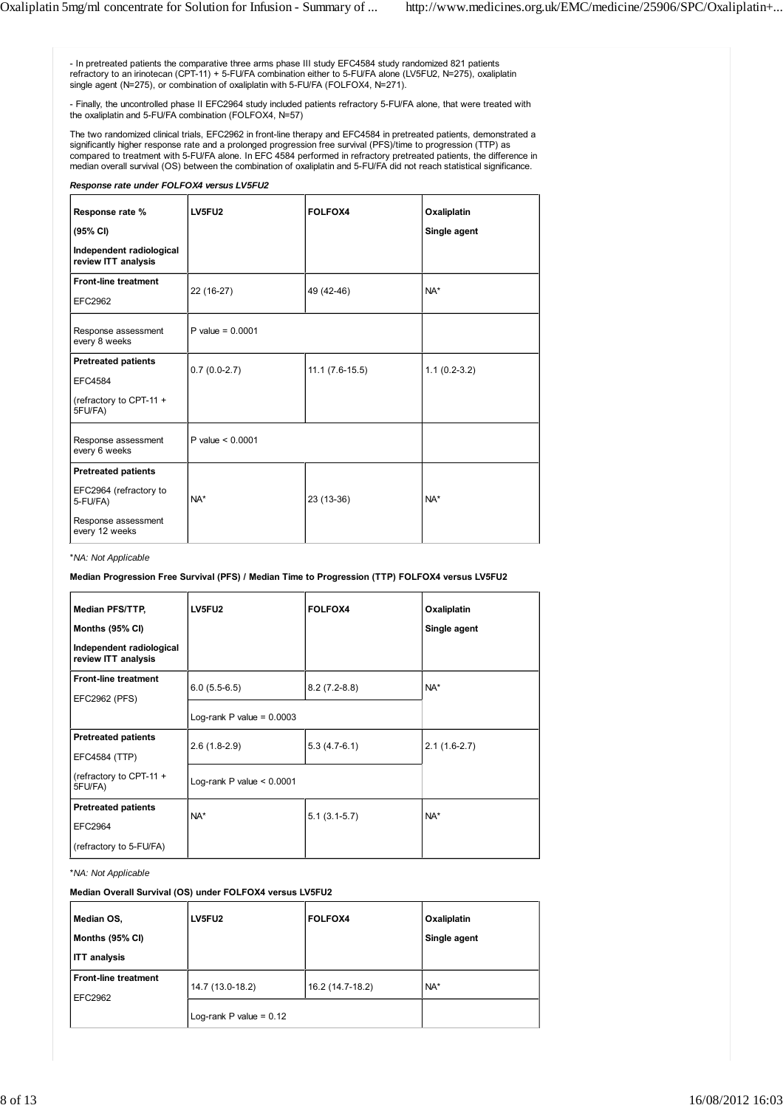- In pretreated patients the comparative three arms phase III study EFC4584 study randomized 821 patients refractory to an irinotecan (CPT-11) + 5-FU/FA combination either to 5-FU/FA alone (LV5FU2, N=275), oxaliplatin single agent (N=275), or combination of oxaliplatin with 5-FU/FA (FOLFOX4, N=271).

- Finally, the uncontrolled phase II EFC2964 study included patients refractory 5-FU/FA alone, that were treated with the oxaliplatin and 5-FU/FA combination (FOLFOX4, N=57)

The two randomized clinical trials, EFC2962 in front-line therapy and EFC4584 in pretreated patients, demonstrated a significantly higher response rate and a prolonged progression free survival (PFS)/time to progression (TTP) as compared to treatment with 5-FU/FA alone. In EFC 4584 performed in refractory pretreated patients, the difference in median overall survival (OS) between the combination of oxaliplatin and 5-FU/FA did not reach statistical significance.

# *Response rate under FOLFOX4 versus LV5FU2*

| Response rate %<br>(95% CI)                                                                               | LV5FU2             | FOLFOX4             | Oxaliplatin<br>Single agent |
|-----------------------------------------------------------------------------------------------------------|--------------------|---------------------|-----------------------------|
| Independent radiological<br>review ITT analysis                                                           |                    |                     |                             |
| <b>Front-line treatment</b><br><b>EFC2962</b>                                                             | 22 (16-27)         | 49 (42-46)          | $NA^*$                      |
| Response assessment<br>every 8 weeks                                                                      | P value = $0.0001$ |                     |                             |
| <b>Pretreated patients</b><br><b>EFC4584</b><br>(refractory to CPT-11 +<br>5FU/FA)                        | $0.7(0.0-2.7)$     | $11.1 (7.6 - 15.5)$ | $1.1(0.2-3.2)$              |
| Response assessment<br>every 6 weeks                                                                      | P value $< 0.0001$ |                     |                             |
| <b>Pretreated patients</b><br>EFC2964 (refractory to<br>5-FU/FA)<br>Response assessment<br>every 12 weeks | $NA*$              | 23 (13-36)          | $NA*$                       |

\**NA: Not Applicable*

**Median Progression Free Survival (PFS) / Median Time to Progression (TTP) FOLFOX4 versus LV5FU2**

| Median PFS/TTP,                                 | LV5FU2                      | <b>FOLFOX4</b> | Oxaliplatin    |
|-------------------------------------------------|-----------------------------|----------------|----------------|
| Months (95% CI)                                 |                             |                | Single agent   |
| Independent radiological<br>review ITT analysis |                             |                |                |
| <b>Front-line treatment</b>                     | $6.0(5.5-6.5)$              | $8.2(7.2-8.8)$ | NA*            |
| EFC2962 (PFS)                                   |                             |                |                |
|                                                 | Log-rank P value = $0.0003$ |                |                |
| <b>Pretreated patients</b>                      | $2.6(1.8-2.9)$              | $5.3(4.7-6.1)$ | $2.1(1.6-2.7)$ |
| EFC4584 (TTP)                                   |                             |                |                |
| (refractory to CPT-11 +<br>5FU/FA)              | Log-rank P value $< 0.0001$ |                |                |
| <b>Pretreated patients</b>                      | $NA^*$                      | $5.1(3.1-5.7)$ | NA*            |
| <b>EFC2964</b>                                  |                             |                |                |
| (refractory to 5-FU/FA)                         |                             |                |                |

\**NA: Not Applicable*

**Median Overall Survival (OS) under FOLFOX4 versus LV5FU2**

| Median OS,<br>Months (95% CI)<br><b>ITT</b> analysis | LV5FU2                    | FOLFOX4          | Oxaliplatin<br>Single agent |
|------------------------------------------------------|---------------------------|------------------|-----------------------------|
| <b>Front-line treatment</b><br>EFC2962               | 14.7 (13.0-18.2)          | 16.2 (14.7-18.2) | NA*                         |
|                                                      | Log-rank P value = $0.12$ |                  |                             |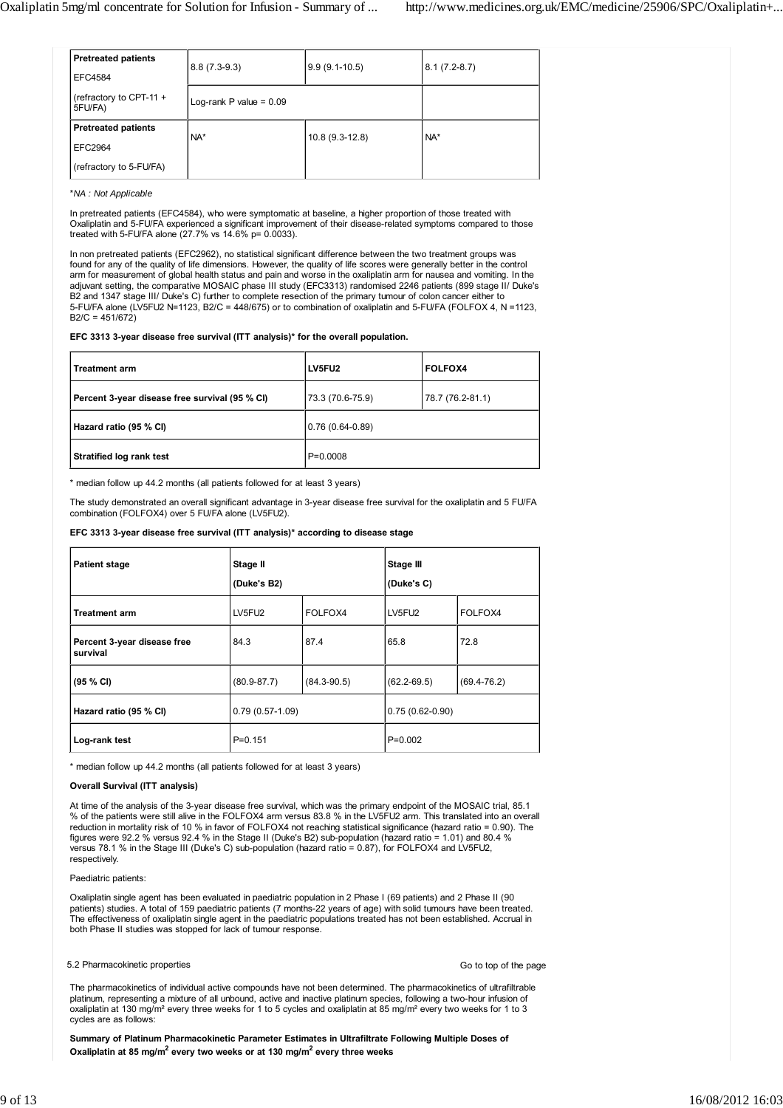| <b>Pretreated patients</b>           | $8.8(7.3-9.3)$            | $9.9(9.1-10.5)$ | $8.1(7.2-8.7)$ |  |
|--------------------------------------|---------------------------|-----------------|----------------|--|
| <b>EFC4584</b>                       |                           |                 |                |  |
| (refractory to CPT-11 $+$<br>5FU/FA) | Log-rank P value = $0.09$ |                 |                |  |
| <b>Pretreated patients</b>           | $NA*$                     | 10.8 (9.3-12.8) | NA*            |  |
| EFC2964                              |                           |                 |                |  |
| (refractory to 5-FU/FA)              |                           |                 |                |  |

\**NA : Not Applicable*

In pretreated patients (EFC4584), who were symptomatic at baseline, a higher proportion of those treated with Oxaliplatin and 5-FU/FA experienced a significant improvement of their disease-related symptoms compared to those treated with 5-FU/FA alone (27.7% vs 14.6% p= 0.0033).

In non pretreated patients (EFC2962), no statistical significant difference between the two treatment groups was found for any of the quality of life dimensions. However, the quality of life scores were generally better in the control arm for measurement of global health status and pain and worse in the oxaliplatin arm for nausea and vomiting. In the adjuvant setting, the comparative MOSAIC phase III study (EFC3313) randomised 2246 patients (899 stage II/ Duke's B2 and 1347 stage III/ Duke's C) further to complete resection of the primary tumour of colon cancer either to 5-FU/FA alone (LV5FU2 N=1123, B2/C = 448/675) or to combination of oxaliplatin and 5-FU/FA (FOLFOX 4, N =1123,  $B2/C = 451/672$ 

## **EFC 3313 3-year disease free survival (ITT analysis)\* for the overall population.**

| <b>Treatment arm</b>                           | LV5FU2            | <b>FOLFOX4</b>   |
|------------------------------------------------|-------------------|------------------|
| Percent 3-year disease free survival (95 % CI) | 73.3 (70.6-75.9)  | 78.7 (76.2-81.1) |
| Hazard ratio (95 % CI)                         | $0.76(0.64-0.89)$ |                  |
| <b>Stratified log rank test</b>                | $P=0.0008$        |                  |

\* median follow up 44.2 months (all patients followed for at least 3 years)

The study demonstrated an overall significant advantage in 3-year disease free survival for the oxaliplatin and 5 FU/FA combination (FOLFOX4) over 5 FU/FA alone (LV5FU2).

## **EFC 3313 3-year disease free survival (ITT analysis)\* according to disease stage**

| <b>Patient stage</b>                    | Stage II          |                 | Stage III         |                 |  |
|-----------------------------------------|-------------------|-----------------|-------------------|-----------------|--|
|                                         | (Duke's B2)       |                 | (Duke's C)        |                 |  |
| <b>Treatment arm</b>                    | LV5FU2            | FOLFOX4         | LV5FU2            | FOLFOX4         |  |
| Percent 3-year disease free<br>survival | 84.3              | 87.4            | 65.8              | 72.8            |  |
| (95 % CI)                               | $(80.9 - 87.7)$   | $(84.3 - 90.5)$ | $(62.2 - 69.5)$   | $(69.4 - 76.2)$ |  |
| Hazard ratio (95 % CI)                  | $0.79(0.57-1.09)$ |                 | $0.75(0.62-0.90)$ |                 |  |
| Log-rank test                           | $P = 0.151$       |                 | $P=0.002$         |                 |  |

\* median follow up 44.2 months (all patients followed for at least 3 years)

## **Overall Survival (ITT analysis)**

At time of the analysis of the 3-year disease free survival, which was the primary endpoint of the MOSAIC trial, 85.1 % of the patients were still alive in the FOLFOX4 arm versus 83.8 % in the LV5FU2 arm. This translated into an overall reduction in mortality risk of 10 % in favor of FOLFOX4 not reaching statistical significance (hazard ratio = 0.90). The figures were 92.2 % versus 92.4 % in the Stage II (Duke's B2) sub-population (hazard ratio = 1.01) and 80.4 % versus 78.1 % in the Stage III (Duke's C) sub-population (hazard ratio = 0.87), for FOLFOX4 and LV5FU2, respectively.

### Paediatric patients:

Oxaliplatin single agent has been evaluated in paediatric population in 2 Phase I (69 patients) and 2 Phase II (90 patients) studies. A total of 159 paediatric patients (7 months-22 years of age) with solid tumours have been treated. The effectiveness of oxaliplatin single agent in the paediatric populations treated has not been established. Accrual in both Phase II studies was stopped for lack of tumour response.

## 5.2 Pharmacokinetic properties

Go to top of the page

The pharmacokinetics of individual active compounds have not been determined. The pharmacokinetics of ultrafiltrable platinum, representing a mixture of all unbound, active and inactive platinum species, following a two-hour infusion of oxaliplatin at 130 mg/m² every three weeks for 1 to 5 cycles and oxaliplatin at 85 mg/m² every two weeks for 1 to 3 cycles are as follows:

**Summary of Platinum Pharmacokinetic Parameter Estimates in Ultrafiltrate Following Multiple Doses of** Oxaliplatin at 85 mg/m<sup>2</sup> every two weeks or at 130 mg/m<sup>2</sup> every three weeks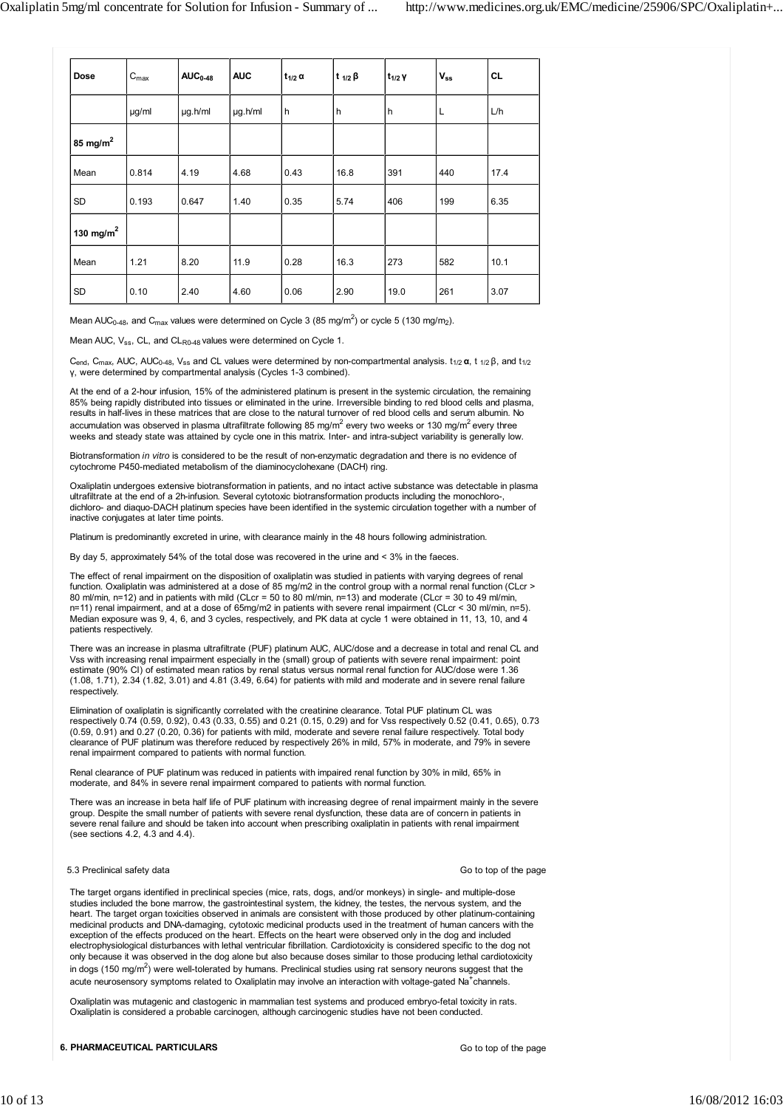| <b>Dose</b>   | $C_{\text{max}}$ | $AUC_{0-48}$ | <b>AUC</b> | $t_{1/2}$ $\alpha$ | t $1/2$ $\beta$ | $t_{1/2}$ Y | $V_{ss}$ | <b>CL</b> |
|---------------|------------------|--------------|------------|--------------------|-----------------|-------------|----------|-----------|
|               | µg/ml            | µg.h/ml      | µg.h/ml    | h                  | h               | h           | L        | L/h       |
| 85 mg/ $m^2$  |                  |              |            |                    |                 |             |          |           |
| Mean          | 0.814            | 4.19         | 4.68       | 0.43               | 16.8            | 391         | 440      | 17.4      |
| SD            | 0.193            | 0.647        | 1.40       | 0.35               | 5.74            | 406         | 199      | 6.35      |
| 130 mg/m $^2$ |                  |              |            |                    |                 |             |          |           |
| Mean          | 1.21             | 8.20         | 11.9       | 0.28               | 16.3            | 273         | 582      | 10.1      |
| SD            | 0.10             | 2.40         | 4.60       | 0.06               | 2.90            | 19.0        | 261      | 3.07      |

Mean AUC<sub>0-48</sub>, and C<sub>max</sub> values were determined on Cycle 3 (85 mg/m<sup>2</sup>) or cycle 5 (130 mg/m<sub>2</sub>).

Mean AUC,  $V_{SS}$ , CL, and CL<sub>R0-48</sub> values were determined on Cycle 1.

C<sub>end</sub>, C<sub>max</sub>, AUC, AUC<sub>0-48</sub>, V<sub>ss</sub> and CL values were determined by non-compartmental analysis. t<sub>1/2</sub> **α**, t <sub>1/2</sub> β, and t<sub>1/2</sub> γ, were determined by compartmental analysis (Cycles 1-3 combined).

At the end of a 2-hour infusion, 15% of the administered platinum is present in the systemic circulation, the remaining 85% being rapidly distributed into tissues or eliminated in the urine. Irreversible binding to red blood cells and plasma, results in half-lives in these matrices that are close to the natural turnover of red blood cells and serum albumin. No accumulation was observed in plasma ultrafiltrate following 85 mg/m<sup>2</sup> every two weeks or 130 mg/m<sup>2</sup> every three weeks and steady state was attained by cycle one in this matrix. Inter- and intra-subject variability is generally low.

Biotransformation *in vitro* is considered to be the result of non-enzymatic degradation and there is no evidence of cytochrome P450-mediated metabolism of the diaminocyclohexane (DACH) ring.

Oxaliplatin undergoes extensive biotransformation in patients, and no intact active substance was detectable in plasma ultrafiltrate at the end of a 2h-infusion. Several cytotoxic biotransformation products including the monochloro-, dichloro- and diaquo-DACH platinum species have been identified in the systemic circulation together with a number of inactive conjugates at later time points.

Platinum is predominantly excreted in urine, with clearance mainly in the 48 hours following administration.

By day 5, approximately 54% of the total dose was recovered in the urine and < 3% in the faeces.

The effect of renal impairment on the disposition of oxaliplatin was studied in patients with varying degrees of renal function. Oxaliplatin was administered at a dose of 85 mg/m2 in the control group with a normal renal function (CLcr > 80 ml/min, n=12) and in patients with mild (CLcr = 50 to 80 ml/min, n=13) and moderate (CLcr = 30 to 49 ml/min, n=11) renal impairment, and at a dose of 65mg/m2 in patients with severe renal impairment (CLcr < 30 ml/min, n=5). Median exposure was 9, 4, 6, and 3 cycles, respectively, and PK data at cycle 1 were obtained in 11, 13, 10, and 4 patients respectively.

There was an increase in plasma ultrafiltrate (PUF) platinum AUC, AUC/dose and a decrease in total and renal CL and Vss with increasing renal impairment especially in the (small) group of patients with severe renal impairment: point estimate (90% CI) of estimated mean ratios by renal status versus normal renal function for AUC/dose were 1.36 (1.08, 1.71), 2.34 (1.82, 3.01) and 4.81 (3.49, 6.64) for patients with mild and moderate and in severe renal failure respectively.

Elimination of oxaliplatin is significantly correlated with the creatinine clearance. Total PUF platinum CL was respectively 0.74 (0.59, 0.92), 0.43 (0.33, 0.55) and 0.21 (0.15, 0.29) and for Vss respectively 0.52 (0.41, 0.65), 0.73 (0.59, 0.91) and 0.27 (0.20, 0.36) for patients with mild, moderate and severe renal failure respectively. Total body clearance of PUF platinum was therefore reduced by respectively 26% in mild, 57% in moderate, and 79% in severe renal impairment compared to patients with normal function.

Renal clearance of PUF platinum was reduced in patients with impaired renal function by 30% in mild, 65% in moderate, and 84% in severe renal impairment compared to patients with normal function.

There was an increase in beta half life of PUF platinum with increasing degree of renal impairment mainly in the severe group. Despite the small number of patients with severe renal dysfunction, these data are of concern in patients in severe renal failure and should be taken into account when prescribing oxaliplatin in patients with renal impairment (see sections 4.2, 4.3 and 4.4).

## 5.3 Preclinical safety data

Go to top of the page

The target organs identified in preclinical species (mice, rats, dogs, and/or monkeys) in single- and multiple-dose studies included the bone marrow, the gastrointestinal system, the kidney, the testes, the nervous system, and the heart. The target organ toxicities observed in animals are consistent with those produced by other platinum-containing medicinal products and DNA-damaging, cytotoxic medicinal products used in the treatment of human cancers with the exception of the effects produced on the heart. Effects on the heart were observed only in the dog and included electrophysiological disturbances with lethal ventricular fibrillation. Cardiotoxicity is considered specific to the dog not only because it was observed in the dog alone but also because doses similar to those producing lethal cardiotoxicity in dogs (150 mg/m<sup>2</sup>) were well-tolerated by humans. Preclinical studies using rat sensory neurons suggest that the acute neurosensory symptoms related to Oxaliplatin may involve an interaction with voltage-gated Na<sup>+</sup>channels.

Oxaliplatin was mutagenic and clastogenic in mammalian test systems and produced embryo-fetal toxicity in rats. Oxaliplatin is considered a probable carcinogen, although carcinogenic studies have not been conducted.

**6. PHARMACEUTICAL PARTICULARS**

Go to top of the page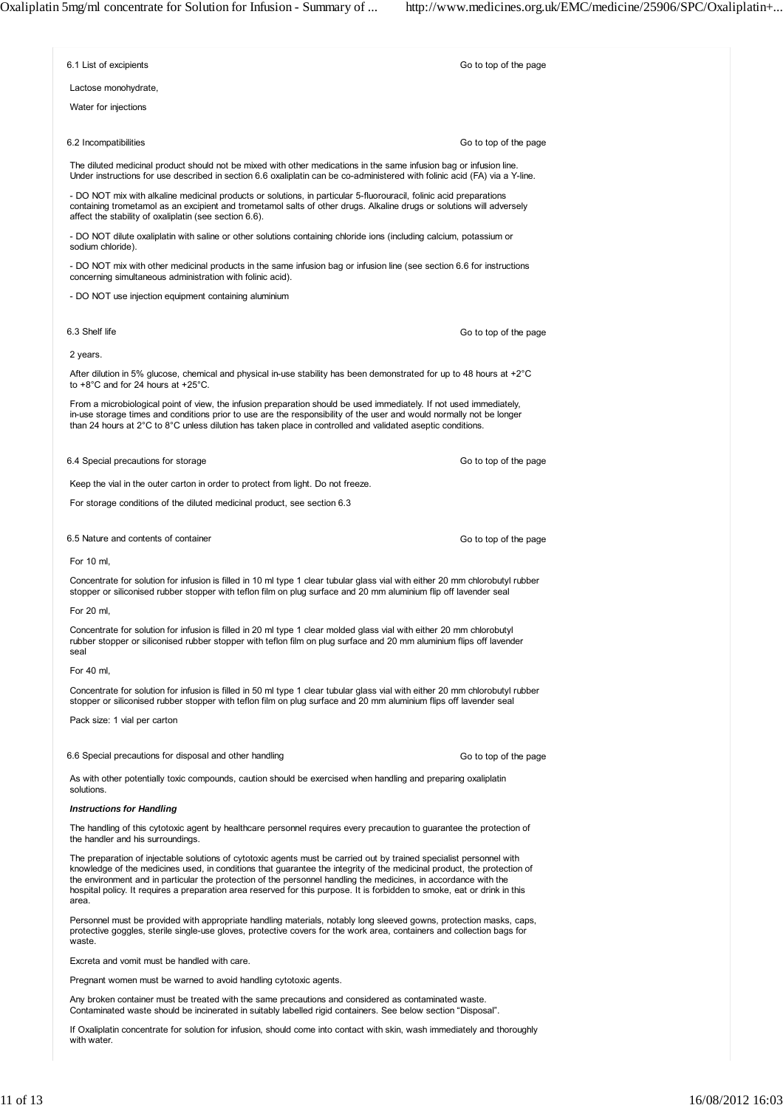| 6.1 List of excipients                                                                                                                                                                                                                                                                                                                                                                                                                                                                                    | Go to top of the page                                                                                                                                                                                                                        |  |  |  |  |  |
|-----------------------------------------------------------------------------------------------------------------------------------------------------------------------------------------------------------------------------------------------------------------------------------------------------------------------------------------------------------------------------------------------------------------------------------------------------------------------------------------------------------|----------------------------------------------------------------------------------------------------------------------------------------------------------------------------------------------------------------------------------------------|--|--|--|--|--|
| Lactose monohydrate,                                                                                                                                                                                                                                                                                                                                                                                                                                                                                      |                                                                                                                                                                                                                                              |  |  |  |  |  |
| Water for injections                                                                                                                                                                                                                                                                                                                                                                                                                                                                                      |                                                                                                                                                                                                                                              |  |  |  |  |  |
| 6.2 Incompatibilities                                                                                                                                                                                                                                                                                                                                                                                                                                                                                     | Go to top of the page                                                                                                                                                                                                                        |  |  |  |  |  |
| The diluted medicinal product should not be mixed with other medications in the same infusion bag or infusion line.<br>Under instructions for use described in section 6.6 oxaliplatin can be co-administered with folinic acid (FA) via a Y-line.                                                                                                                                                                                                                                                        |                                                                                                                                                                                                                                              |  |  |  |  |  |
| affect the stability of oxaliplatin (see section 6.6).                                                                                                                                                                                                                                                                                                                                                                                                                                                    | - DO NOT mix with alkaline medicinal products or solutions, in particular 5-fluorouracil, folinic acid preparations<br>containing trometamol as an excipient and trometamol salts of other drugs. Alkaline drugs or solutions will adversely |  |  |  |  |  |
| - DO NOT dilute oxaliplatin with saline or other solutions containing chloride ions (including calcium, potassium or<br>sodium chloride).                                                                                                                                                                                                                                                                                                                                                                 |                                                                                                                                                                                                                                              |  |  |  |  |  |
| - DO NOT mix with other medicinal products in the same infusion bag or infusion line (see section 6.6 for instructions<br>concerning simultaneous administration with folinic acid).                                                                                                                                                                                                                                                                                                                      |                                                                                                                                                                                                                                              |  |  |  |  |  |
| - DO NOT use injection equipment containing aluminium                                                                                                                                                                                                                                                                                                                                                                                                                                                     |                                                                                                                                                                                                                                              |  |  |  |  |  |
| 6.3 Shelf life                                                                                                                                                                                                                                                                                                                                                                                                                                                                                            | Go to top of the page                                                                                                                                                                                                                        |  |  |  |  |  |
| 2 years.                                                                                                                                                                                                                                                                                                                                                                                                                                                                                                  |                                                                                                                                                                                                                                              |  |  |  |  |  |
| After dilution in 5% glucose, chemical and physical in-use stability has been demonstrated for up to 48 hours at +2 $^{\circ}$ C<br>to $+8^{\circ}$ C and for 24 hours at $+25^{\circ}$ C.                                                                                                                                                                                                                                                                                                                |                                                                                                                                                                                                                                              |  |  |  |  |  |
| From a microbiological point of view, the infusion preparation should be used immediately. If not used immediately,<br>in-use storage times and conditions prior to use are the responsibility of the user and would normally not be longer<br>than 24 hours at 2°C to 8°C unless dilution has taken place in controlled and validated aseptic conditions.                                                                                                                                                |                                                                                                                                                                                                                                              |  |  |  |  |  |
| 6.4 Special precautions for storage                                                                                                                                                                                                                                                                                                                                                                                                                                                                       | Go to top of the page                                                                                                                                                                                                                        |  |  |  |  |  |
| Keep the vial in the outer carton in order to protect from light. Do not freeze.                                                                                                                                                                                                                                                                                                                                                                                                                          |                                                                                                                                                                                                                                              |  |  |  |  |  |
| For storage conditions of the diluted medicinal product, see section 6.3                                                                                                                                                                                                                                                                                                                                                                                                                                  |                                                                                                                                                                                                                                              |  |  |  |  |  |
| 6.5 Nature and contents of container                                                                                                                                                                                                                                                                                                                                                                                                                                                                      | Go to top of the page                                                                                                                                                                                                                        |  |  |  |  |  |
| For 10 ml,                                                                                                                                                                                                                                                                                                                                                                                                                                                                                                |                                                                                                                                                                                                                                              |  |  |  |  |  |
| Concentrate for solution for infusion is filled in 10 ml type 1 clear tubular glass vial with either 20 mm chlorobutyl rubber<br>stopper or siliconised rubber stopper with teflon film on plug surface and 20 mm aluminium flip off lavender seal                                                                                                                                                                                                                                                        |                                                                                                                                                                                                                                              |  |  |  |  |  |
| For 20 ml,                                                                                                                                                                                                                                                                                                                                                                                                                                                                                                |                                                                                                                                                                                                                                              |  |  |  |  |  |
| Concentrate for solution for infusion is filled in 20 ml type 1 clear molded glass vial with either 20 mm chlorobutyl<br>rubber stopper or siliconised rubber stopper with teflon film on plug surface and 20 mm aluminium flips off lavender<br>seal                                                                                                                                                                                                                                                     |                                                                                                                                                                                                                                              |  |  |  |  |  |
| For 40 ml,                                                                                                                                                                                                                                                                                                                                                                                                                                                                                                |                                                                                                                                                                                                                                              |  |  |  |  |  |
| Concentrate for solution for infusion is filled in 50 ml type 1 clear tubular glass vial with either 20 mm chlorobutyl rubber<br>stopper or siliconised rubber stopper with teflon film on plug surface and 20 mm aluminium flips off lavender seal                                                                                                                                                                                                                                                       |                                                                                                                                                                                                                                              |  |  |  |  |  |
| Pack size: 1 vial per carton                                                                                                                                                                                                                                                                                                                                                                                                                                                                              |                                                                                                                                                                                                                                              |  |  |  |  |  |
| 6.6 Special precautions for disposal and other handling                                                                                                                                                                                                                                                                                                                                                                                                                                                   | Go to top of the page                                                                                                                                                                                                                        |  |  |  |  |  |
| As with other potentially toxic compounds, caution should be exercised when handling and preparing oxaliplatin<br>solutions.                                                                                                                                                                                                                                                                                                                                                                              |                                                                                                                                                                                                                                              |  |  |  |  |  |
| <b>Instructions for Handling</b>                                                                                                                                                                                                                                                                                                                                                                                                                                                                          |                                                                                                                                                                                                                                              |  |  |  |  |  |
| The handling of this cytotoxic agent by healthcare personnel requires every precaution to quarantee the protection of<br>the handler and his surroundings.                                                                                                                                                                                                                                                                                                                                                |                                                                                                                                                                                                                                              |  |  |  |  |  |
| The preparation of injectable solutions of cytotoxic agents must be carried out by trained specialist personnel with<br>knowledge of the medicines used, in conditions that guarantee the integrity of the medicinal product, the protection of<br>the environment and in particular the protection of the personnel handling the medicines, in accordance with the<br>hospital policy. It requires a preparation area reserved for this purpose. It is forbidden to smoke, eat or drink in this<br>area. |                                                                                                                                                                                                                                              |  |  |  |  |  |
| Personnel must be provided with appropriate handling materials, notably long sleeved gowns, protection masks, caps,<br>protective goggles, sterile single-use gloves, protective covers for the work area, containers and collection bags for<br>waste.                                                                                                                                                                                                                                                   |                                                                                                                                                                                                                                              |  |  |  |  |  |
| Excreta and vomit must be handled with care.                                                                                                                                                                                                                                                                                                                                                                                                                                                              |                                                                                                                                                                                                                                              |  |  |  |  |  |
| Pregnant women must be warned to avoid handling cytotoxic agents.                                                                                                                                                                                                                                                                                                                                                                                                                                         |                                                                                                                                                                                                                                              |  |  |  |  |  |
| Any broken container must be treated with the same precautions and considered as contaminated waste.<br>Contaminated waste should be incinerated in suitably labelled rigid containers. See below section "Disposal".                                                                                                                                                                                                                                                                                     |                                                                                                                                                                                                                                              |  |  |  |  |  |

If Oxaliplatin concentrate for solution for infusion, should come into contact with skin, wash immediately and thoroughly with water.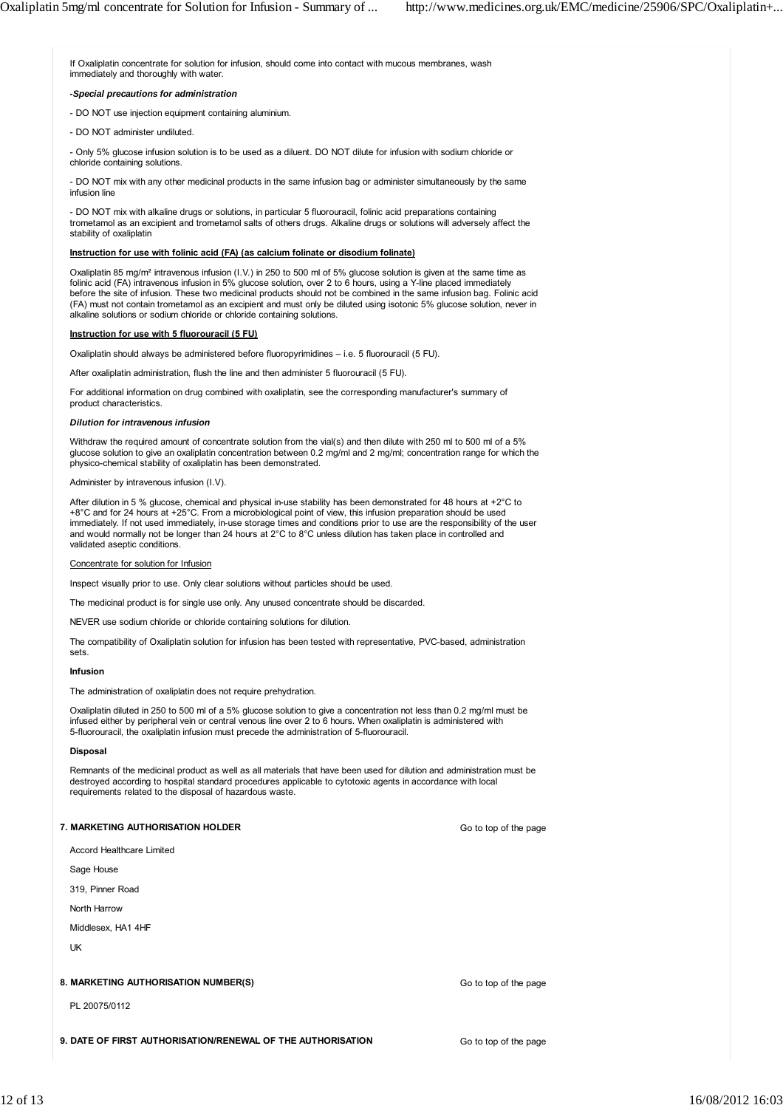If Oxaliplatin concentrate for solution for infusion, should come into contact with mucous membranes, wash immediately and thoroughly with water.

## *-Special precautions for administration*

- DO NOT use injection equipment containing aluminium.
- DO NOT administer undiluted.

- Only 5% glucose infusion solution is to be used as a diluent. DO NOT dilute for infusion with sodium chloride or chloride containing solutions.

- DO NOT mix with any other medicinal products in the same infusion bag or administer simultaneously by the same infusion line

- DO NOT mix with alkaline drugs or solutions, in particular 5 fluorouracil, folinic acid preparations containing trometamol as an excipient and trometamol salts of others drugs. Alkaline drugs or solutions will adversely affect the stability of oxaliplatin

## **Instruction for use with folinic acid (FA) (as calcium folinate or disodium folinate)**

Oxaliplatin 85 mg/m² intravenous infusion (I.V.) in 250 to 500 ml of 5% glucose solution is given at the same time as folinic acid (FA) intravenous infusion in 5% glucose solution, over 2 to 6 hours, using a Y-line placed immediately before the site of infusion. These two medicinal products should not be combined in the same infusion bag. Folinic acid (FA) must not contain trometamol as an excipient and must only be diluted using isotonic 5% glucose solution, never in alkaline solutions or sodium chloride or chloride containing solutions.

## **Instruction for use with 5 fluorouracil (5 FU)**

Oxaliplatin should always be administered before fluoropyrimidines – i.e. 5 fluorouracil (5 FU).

After oxaliplatin administration, flush the line and then administer 5 fluorouracil (5 FU).

For additional information on drug combined with oxaliplatin, see the corresponding manufacturer's summary of product characteristics.

### *Dilution for intravenous infusion*

Withdraw the required amount of concentrate solution from the vial(s) and then dilute with 250 ml to 500 ml of a 5% glucose solution to give an oxaliplatin concentration between 0.2 mg/ml and 2 mg/ml; concentration range for which the physico-chemical stability of oxaliplatin has been demonstrated.

## Administer by intravenous infusion (I.V).

After dilution in 5 % glucose, chemical and physical in-use stability has been demonstrated for 48 hours at +2°C to +8°C and for 24 hours at +25°C. From a microbiological point of view, this infusion preparation should be used immediately. If not used immediately, in-use storage times and conditions prior to use are the responsibility of the user and would normally not be longer than 24 hours at 2°C to 8°C unless dilution has taken place in controlled and validated aseptic conditions.

### Concentrate for solution for Infusion

Inspect visually prior to use. Only clear solutions without particles should be used.

The medicinal product is for single use only. Any unused concentrate should be discarded.

NEVER use sodium chloride or chloride containing solutions for dilution.

The compatibility of Oxaliplatin solution for infusion has been tested with representative, PVC-based, administration sets.

### **Infusion**

The administration of oxaliplatin does not require prehydration.

Oxaliplatin diluted in 250 to 500 ml of a 5% glucose solution to give a concentration not less than 0.2 mg/ml must be infused either by peripheral vein or central venous line over 2 to 6 hours. When oxaliplatin is administered with 5-fluorouracil, the oxaliplatin infusion must precede the administration of 5-fluorouracil.

### **Disposal**

Remnants of the medicinal product as well as all materials that have been used for dilution and administration must be destroyed according to hospital standard procedures applicable to cytotoxic agents in accordance with local requirements related to the disposal of hazardous waste.

# **7. MARKETING AUTHORISATION HOLDER**

Accord Healthcare Limited

Sage House

319, Pinner Road

North Harrow

Middlesex, HA1 4HF

UK

## **8. MARKETING AUTHORISATION NUMBER(S)**

PL 20075/0112

**9. DATE OF FIRST AUTHORISATION/RENEWAL OF THE AUTHORISATION**

Go to top of the page

Go to top of the page